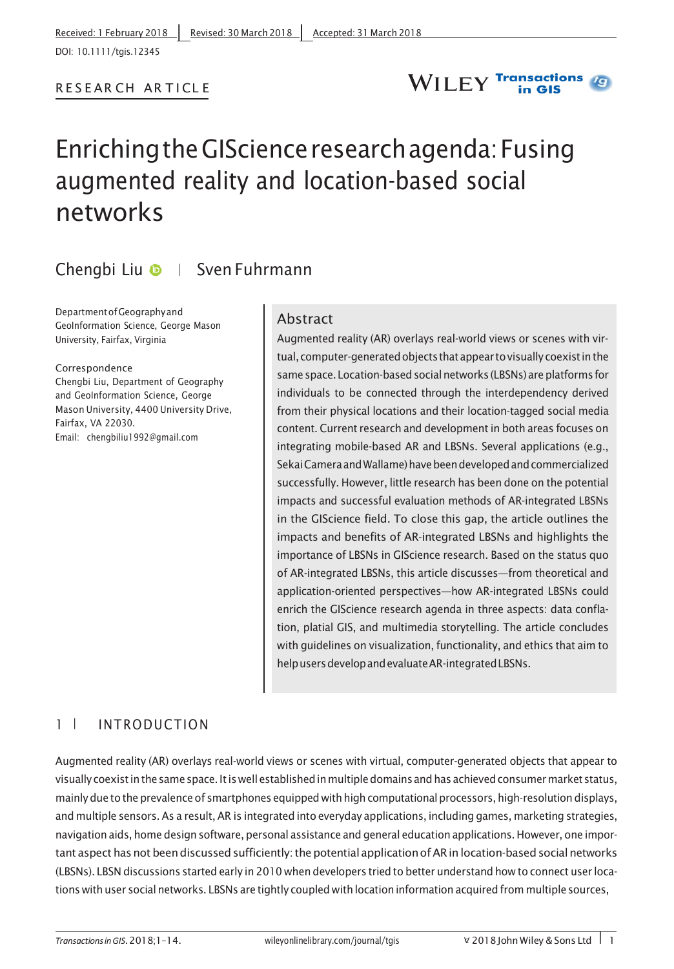## RESEARCH ARTICLE **WILEY** Transactions

## EnrichingtheGIScienceresearchagenda:Fusing augmented reality and location-based social networks

### Chengbi Liu <sup>1</sup> | Sven Fuhrmann

DepartmentofGeographyand GeoInformation Science, George Mason University, Fairfax, Virginia

Correspondence

Chengbi Liu, Department of Geography and GeoInformation Science, George Mason University, 4400 University Drive, Fairfax, VA 22030. Email: [chengbiliu1992@gmail.com](mailto:chengbiliu1992@gmail.com)

#### Abstract

Augmented reality (AR) overlays real-world views or scenes with virtual, computer-generatedobjectsthatappear tovisuallycoexistinthe same space. Location-based social networks (LBSNs) are platforms for individuals to be connected through the interdependency derived from their physical locations and their location-tagged social media content. Current research and development in both areas focuses on integrating mobile-based AR and LBSNs. Several applications (e.g., SekaiCameraandWallame)havebeendevelopedandcommercialized successfully. However, little research has been done on the potential impacts and successful evaluation methods of AR-integrated LBSNs in the GIScience field. To close this gap, the article outlines the impacts and benefits of AR-integrated LBSNs and highlights the importance of LBSNs in GIScience research. Based on the status quo of AR-integrated LBSNs, this article discusses—from theoretical and application-oriented perspectives—how AR-integrated LBSNs could enrich the GIScience research agenda in three aspects: data conflation, platial GIS, and multimedia storytelling. The article concludes with guidelines on visualization, functionality, and ethics that aim to helpusersdevelopandevaluateAR-integratedLBSNs.

#### 1 | INTRODUCTION

Augmented reality (AR) overlays real-world views or scenes with virtual, computer-generated objects that appear to visually coexist in the same space. It is well established in multiple domains and has achieved consumer market status, mainly due to the prevalence of smartphones equipped with high computationalprocessors, high-resolution displays, and multiple sensors. As a result, AR is integrated into everyday applications, including games, marketing strategies, navigation aids, home design software, personal assistance and general education applications. However, one important aspect has not been discussed sufficiently: the potential application of AR in location-based social networks (LBSNs). LBSN discussions started early in 2010 when developers tried to better understand how to connect user locations with user social networks. LBSNs are tightly coupled with location information acquired from multiple sources,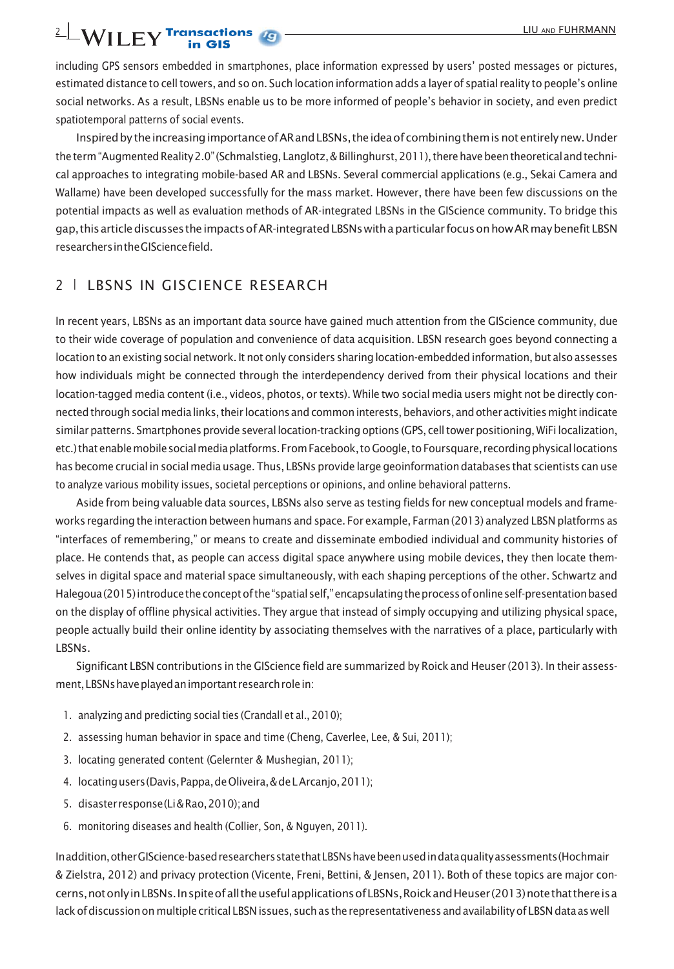## $2$  WII FY Transactions

including GPS sensors embedded in smartphones, place information expressed by users' posted messages or pictures, estimated distance to cell towers, and so on. Such location information adds a layer of spatial reality to people's online social networks. As a result, LBSNs enable us to be more informed of people's behavior in society, and even predict spatiotemporal patterns of social events.

Inspiredby theincreasingimportanceofARandLBSNs,theideaofcombiningthemisnotentirelynew.Under the term "Augmented Reality 2.0" (Schmalstieg, Langlotz, & Billinghurst, 2011), there have been theoretical and technical approaches to integrating mobile-based AR and LBSNs. Several commercial applications (e.g., Sekai Camera and Wallame) have been developed successfully for the mass market. However, there have been few discussions on the potential impacts as well as evaluation methods of AR-integrated LBSNs in the GIScience community. To bridge this gap, this article discusses the impacts of AR-integrated LBSNs with a particular focus on how AR may benefit LBSN researchersintheGISciencefield.

#### 2 | LBSNS IN GISCIENCE RESEARCH

In recent years, LBSNs as an important data source have gained much attention from the GIScience community, due to their wide coverage of population and convenience of data acquisition. LBSN research goes beyond connecting a location to an existing social network. It not only considers sharing location-embedded information, but also assesses how individuals might be connected through the interdependency derived from their physical locations and their location-tagged media content (i.e., videos, photos, or texts). While two social media users might not be directly connected through social media links, their locations and common interests, behaviors, and other activities might indicate similar patterns. Smartphones provide several location-tracking options (GPS, cell tower positioning, WiFi localization, etc.) that enable mobile social media platforms. From Facebook, to Google, to Foursquare, recording physical locations has become crucial in social media usage. Thus, LBSNs provide large geoinformation databases that scientists can use to analyze various mobility issues, societal perceptions or opinions, and online behavioral patterns.

Aside from being valuable data sources, LBSNs also serve as testing fields for new conceptual models and frameworks regarding the interaction between humans and space. For example, Farman (2013) analyzed LBSN platforms as "interfaces of remembering," or means to create and disseminate embodied individual and community histories of place. He contends that, as people can access digital space anywhere using mobile devices, they then locate themselves in digital space and material space simultaneously, with each shaping perceptions of the other. Schwartz and Halegoua(2015)introducetheconceptofthe"spatialself,"encapsulatingtheprocessofonlineself-presentationbased on the display of offline physical activities. They argue that instead of simply occupying and utilizing physical space, people actually build their online identity by associating themselves with the narratives of a place, particularly with LBSNs.

Significant LBSN contributions in the GIScience field are summarized by Roick and Heuser (2013). In their assessment, LBSNs have played an important research role in:

- 1. analyzing and predicting social ties (Crandall et al., 2010);
- 2. assessing human behavior in space and time (Cheng, Caverlee, Lee, & Sui, 2011);
- 3. locating generated content (Gelernter & Mushegian, 2011);
- 4. locatingusers(Davis,Pappa,deOliveira,&deLArcanjo,2011);
- 5. disasterresponse(Li&Rao,2010);and
- 6. monitoring diseases and health (Collier, Son, & Nguyen, 2011).

Inaddition,otherGIScience-basedresearchersstatethatLBSNshavebeenusedindataqualityassessments(Hochmair & Zielstra, 2012) and privacy protection (Vicente, Freni, Bettini, & Jensen, 2011). Both of these topics are major concerns,notonlyinLBSNs.InspiteofalltheusefulapplicationsofLBSNs,RoickandHeuser(2013)notethatthereisa lackofdiscussionon multiple critical LBSN issues, suchas the representativeness andavailabilityof LBSN dataaswell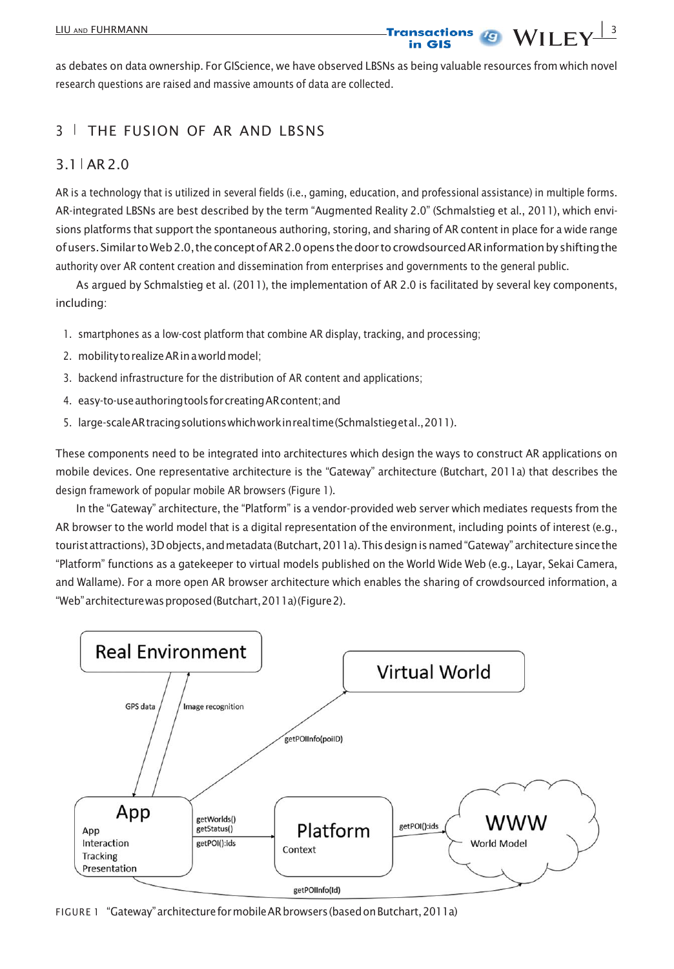as debates on data ownership. For GIScience, we have observed LBSNs as being valuable resources from which novel research questions are raised and massive amounts of data are collected.

#### 3 | THE FUSION OF AR AND LBSNS

#### 3.1 | AR 2.0

AR is a technology that is utilized in several fields (i.e., gaming, education, and professional assistance) in multiple forms. AR-integrated LBSNs are best described by the term "Augmented Reality 2.0" (Schmalstieg et al., 2011), which envisions platforms that support the spontaneous authoring, storing, and sharing of AR content in place for a wide range ofusers.Similar toWeb2.0,theconceptofAR2.0opensthedoor tocrowdsourcedARinformationby shiftingthe authority over AR content creation and dissemination from enterprises and governments to the general public.

As argued by Schmalstieg et al. (2011), the implementation of AR 2.0 is facilitated by several key components, including:

- 1. smartphones as a low-cost platform that combine AR display, tracking, and processing;
- 2. mobilitytorealizeARinaworldmodel;
- 3. backend infrastructure for the distribution of AR content and applications;
- 4. easy-to-useauthoringtoolsforcreatingARcontent;and
- 5. large-scaleARtracingsolutionswhichworkinrealtime(Schmalstiegetal.,2011).

These components need to be integrated into architectures which design the ways to construct AR applications on mobile devices. One representative architecture is the "Gateway" architecture (Butchart, 2011a) that describes the design framework of popular mobile AR browsers (Figure 1).

In the "Gateway" architecture, the "Platform" is a vendor-provided web server which mediates requests from the AR browser to the world model that is a digital representation of the environment, including points of interest (e.g., tourist attractions), 3D objects, and metadata (Butchart, 2011a). This design is named "Gateway" architecture since the "Platform" functions as a gatekeeper to virtual models published on the World Wide Web (e.g., Layar, Sekai Camera, and Wallame). For a more open AR browser architecture which enables the sharing of crowdsourced information, a "Web"architecturewasproposed(Butchart,2011a)(Figure2).



FIGURE 1 "Gateway"architectureformobileARbrowsers(basedonButchart,2011a)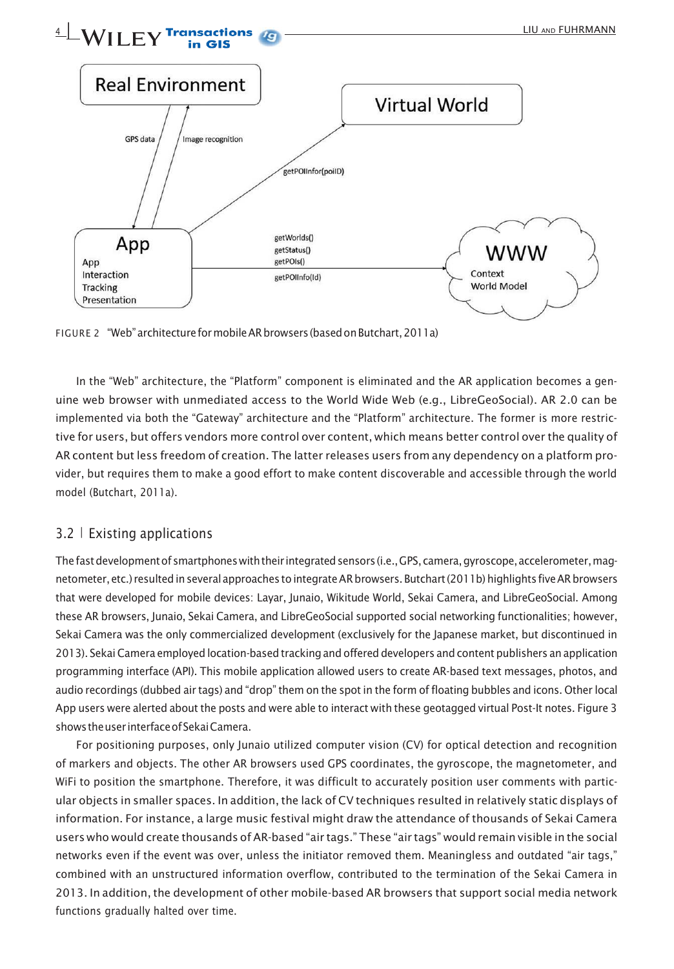

FIGURE 2 "Web" architecture for mobile AR browsers (based on Butchart, 2011a)

In the "Web" architecture, the "Platform" component is eliminated and the AR application becomes a genuine web browser with unmediated access to the World Wide Web (e.g., LibreGeoSocial). AR 2.0 can be implemented via both the "Gateway" architecture and the "Platform" architecture. The former is more restrictive for users, but offers vendors more control over content, which means better control over the quality of AR content but less freedom of creation. The latter releases users from any dependency on a platform provider, but requires them to make a good effort to make content discoverable and accessible through the world model (Butchart, 2011a).

#### 3.2 | Existing applications

The fast development of smartphones with their integrated sensors (i.e., GPS, camera, gyroscope, accelerometer, magnetometer, etc.) resulted in several approaches to integrate AR browsers. Butchart (2011b) highlights five AR browsers that were developed for mobile devices: Layar, Junaio, Wikitude World, Sekai Camera, and LibreGeoSocial. Among these AR browsers, Junaio, Sekai Camera, and LibreGeoSocial supported social networking functionalities; however, Sekai Camera was the only commercialized development (exclusively for the Japanese market, but discontinued in 2013). SekaiCamera employed location-based trackingand offered developers and content publishers an application programming interface (API). This mobile application allowed users to create AR-based text messages, photos, and audio recordings (dubbed air tags) and "drop" them on the spot in the form of floating bubbles and icons. Other local App users were alerted about the posts and were able to interact with these geotagged virtual Post-It notes. Figure 3 showstheuser interfaceofSekaiCamera.

For positioning purposes, only Junaio utilized computer vision (CV) for optical detection and recognition of markers and objects. The other AR browsers used GPS coordinates, the gyroscope, the magnetometer, and WiFi to position the smartphone. Therefore, it was difficult to accurately position user comments with particular objects in smaller spaces. In addition, the lack of CV techniques resulted in relatively static displays of information. For instance, a large music festival might draw the attendance of thousands of Sekai Camera users who would create thousands of AR-based "air tags." These "air tags" would remain visible in the social networks even if the event was over, unless the initiator removed them. Meaningless and outdated "air tags," combined with an unstructured information overflow, contributed to the termination of the Sekai Camera in 2013. In addition, the development of other mobile-based AR browsers that support social media network functions gradually halted over time.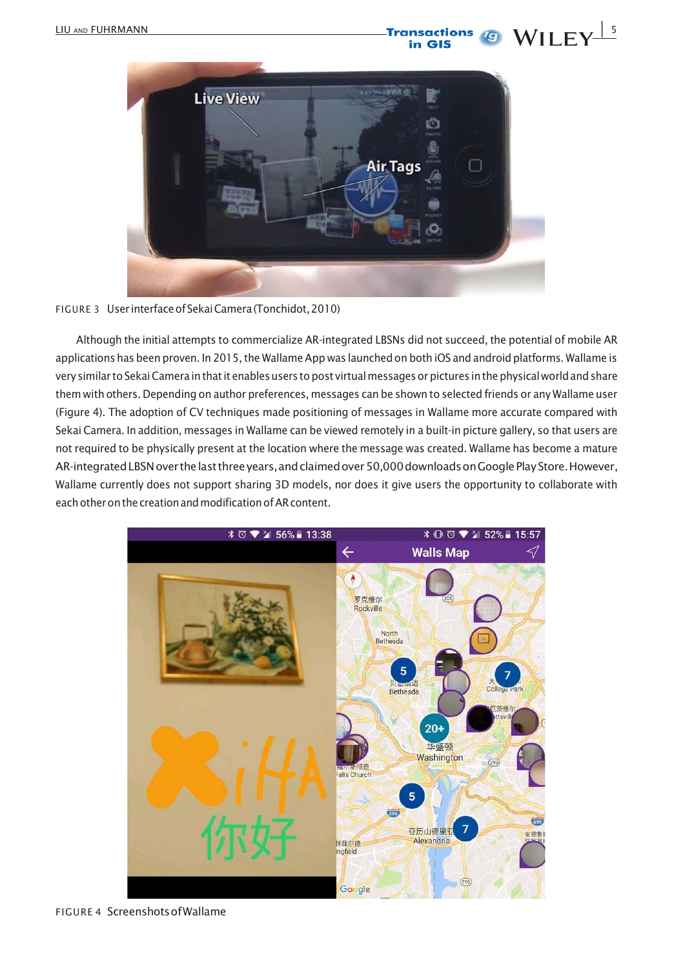#### $\underline{\text{LIU}}$  AND FUHRMANN  $\underbrace{\text{LIU}}$  AND  $\underbrace{\text{LIU}}$  and  $\underbrace{\text{LUI}}$  and  $\underbrace{\text{LUI}}$  and  $\underbrace{\text{LUI}}$  and  $\underbrace{\text{LUI}}$  and  $\underbrace{\text{LUI}}$  and  $\underbrace{\text{LUI}}$  and  $\underbrace{\text{LUI}}$  and  $\underbrace{\text{LUI}}$  and  $\underbrace{\text{LUI}}$  and  $\underbrace{\text{LUI}}$  and  $\underbrace$ in GIS



#### FIGURE 3 User interfaceofSekaiCamera(Tonchidot,2010)

Although the initial attempts to commercialize AR-integrated LBSNs did not succeed, the potential of mobile AR applications has been proven. In 2015, the Wallame App was launched on both iOS and android platforms. Wallame is very similar to Sekai Camera in that it enables users to post virtual messages or pictures in the physical world and share them with others. Depending on author preferences, messages can be shown to selected friends or any Wallame user (Figure 4). The adoption of CV techniques made positioning of messages in Wallame more accurate compared with Sekai Camera. In addition, messages in Wallame can be viewed remotely in a built-in picture gallery, so that users are not required to be physically present at the location where the message was created. Wallame has become a mature AR-integrated LBSN over the last three years, and claimed over 50,000 downloads on Google Play Store. However, Wallame currently does not support sharing 3D models, nor does it give users the opportunity to collaborate with each other on the creation and modification of AR content.



FIGURE 4 ScreenshotsofWallame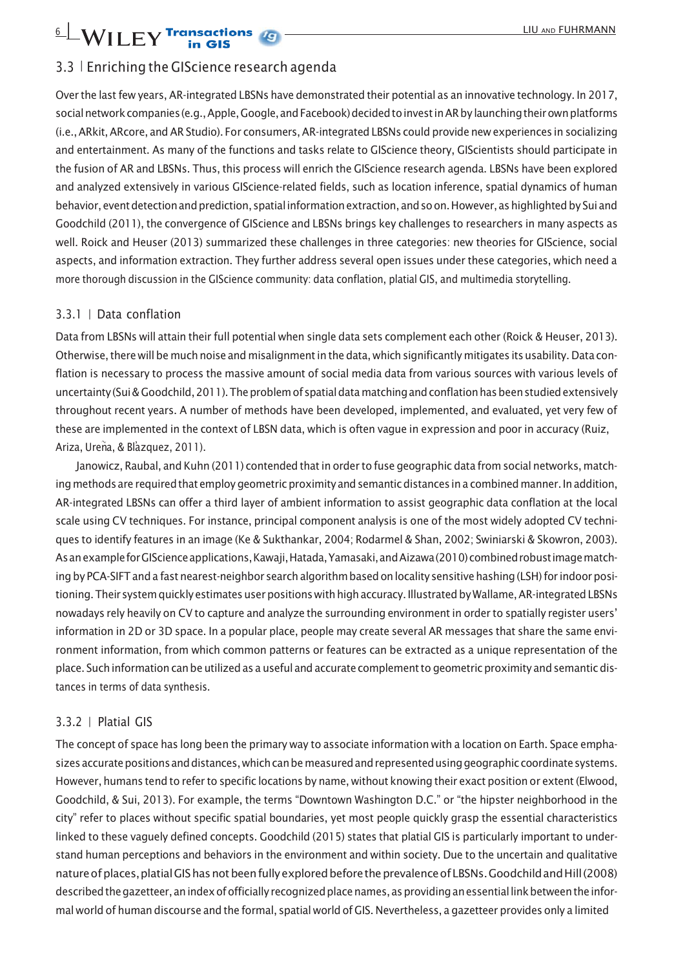# $\frac{6}{2}$  WII FY Transactions

#### 3.3 | Enriching the GIScience research agenda

Over the last few years, AR-integrated LBSNs have demonstrated their potential as an innovative technology. In 2017, social network companies (e.g., Apple, Google, and Facebook) decided to invest in AR by launching their own platforms (i.e.,ARkit,ARcore, and AR Studio). For consumers,AR-integrated LBSNs could provide new experiences in socializing and entertainment. As many of the functions and tasks relate to GIScience theory, GIScientists should participate in the fusion of AR and LBSNs. Thus, this process will enrich the GIScience research agenda. LBSNs have been explored and analyzed extensively in various GIScience-related fields, such as location inference, spatial dynamics of human behavior, event detection and prediction, spatial information extraction, and so on. However, as highlighted by Sui and Goodchild (2011), the convergence of GIScience and LBSNs brings key challenges to researchers in many aspects as well. Roick and Heuser (2013) summarized these challenges in three categories: new theories for GIScience, social aspects, and information extraction. They further address several open issues under these categories, which need a more thorough discussion in the GIScience community: data conflation, platial GIS, and multimedia storytelling.

#### 3.3.1 | Data conflation

Data from LBSNs will attain their full potential when single data sets complement each other (Roick & Heuser, 2013). Otherwise, there will be much noise and misalignment in the data, which significantly mitigates its usability. Data conflation is necessary to process the massive amount of social media data from various sources with various levels of uncertainty (Sui & Goodchild, 2011). The problem of spatial data matching and conflation has been studied extensively throughout recent years. A number of methods have been developed, implemented, and evaluated, yet very few of these are implemented in the context of LBSN data, which is often vague in expression and poor in accuracy (Ruiz, Ariza, Ureña, & Blazquez, 2011).

Janowicz, Raubal, and Kuhn (2011) contended that in order to fuse geographic data from social networks, matching methods are required that employ geometric proximity and semantic distances in a combined manner. In addition, AR-integrated LBSNs can offer a third layer of ambient information to assist geographic data conflation at the local scale using CV techniques. For instance, principal component analysis is one of the most widely adopted CV techniques to identify features in an image (Ke & Sukthankar, 2004; Rodarmel & Shan, 2002; Swiniarski & Skowron, 2003). As an example for GIScience applications, Kawaji, Hatada, Yamasaki, and Aizawa(2010) combined robust image matching by PCA-SIFT and a fast nearest-neighbor search algorithm based on locality sensitive hashing (LSH) for indoor positioning. Their system quickly estimates user positions with high accuracy. Illustrated by Wallame, AR-integrated LBSNs nowadays rely heavily on CV to capture and analyze the surrounding environment in order to spatially register users' information in 2D or 3D space. In a popular place, people may create several AR messages that share the same environment information, from which common patterns or features can be extracted as a unique representation of the place. Such information can be utilized as a useful and accurate complement to geometric proximity and semantic distances in terms of data synthesis.

#### 3.3.2 | Platial GIS

The concept of space has long been the primary way to associate information with a location on Earth. Space emphasizes accurate positions and distances, which can be measured and represented using geographic coordinate systems. However, humans tend to refer to specific locations by name, without knowing their exact position or extent (Elwood, Goodchild, & Sui, 2013). For example, the terms "Downtown Washington D.C." or "the hipster neighborhood in the city" refer to places without specific spatial boundaries, yet most people quickly grasp the essential characteristics linked to these vaguely defined concepts. Goodchild (2015) states that platial GIS is particularly important to understand human perceptions and behaviors in the environment and within society. Due to the uncertain and qualitative nature of places, platial GIS has not been fully explored before the prevalence of LBSNs. Goodchild and Hill (2008) described the gazetteer, an index of officially recognized place names, as providing an essential link between the informal world of human discourse and the formal, spatial world of GIS. Nevertheless, a gazetteer provides only a limited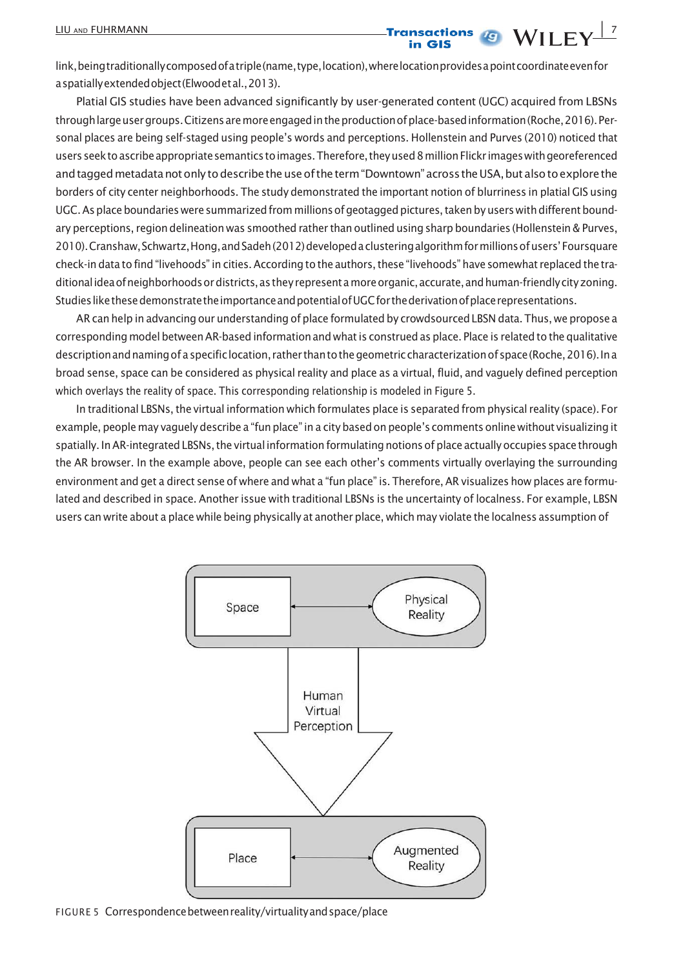link,beingtraditionallycomposedofatriple(name,type,location),wherelocationprovidesapointcoordinateevenfor aspatiallyextendedobject(Elwoodetal.,2013).

in GIS

Platial GIS studies have been advanced significantly by user-generated content (UGC) acquired from LBSNs through large user groups. Citizens are more engaged in the production of place-based information (Roche, 2016). Personal places are being self-staged using people's words and perceptions. Hollenstein and Purves (2010) noticed that users seek to ascribe appropriate semantics to images. Therefore, they used 8 million Flickr images with georeferenced and tagged metadata not only to describe the use of the term "Downtown" across the USA, but also to explore the borders of city center neighborhoods. The study demonstrated the important notion of blurriness in platial GIS using UGC. As place boundaries were summarized from millions of geotagged pictures, taken by users with different boundary perceptions, regiondelineation was smoothed rather than outlined using sharp boundaries (Hollenstein & Purves, 2010). Cranshaw, Schwartz, Hong, and Sadeh (2012) developed a clustering algorithm for millions of users' Foursquare check-in data to find "livehoods" in cities. According to the authors, these "livehoods" have somewhat replaced the traditionalideaofneighborhoodsordistricts,astheyrepresentamoreorganic,accurate,andhuman-friendlycityzoning. StudieslikethesedemonstratetheimportanceandpotentialofUGCforthederivationofplacerepresentations.

AR can help in advancing our understanding of place formulated by crowdsourced LBSN data. Thus, we propose a corresponding model between AR-based information and what is construed as place. Place is related to the qualitative description and naming of a specific location, rather than to the geometric characterization of space (Roche, 2016). In a broad sense, space can be considered as physical reality and place as a virtual, fluid, and vaguely defined perception which overlays the reality of space. This corresponding relationship is modeled in Figure 5.

In traditional LBSNs, the virtual information which formulates place is separated from physical reality (space). For example, people may vaguely describe a "fun place" in a city based on people's comments online without visualizing it spatially. In AR-integrated LBSNs, the virtual information formulating notions of place actually occupies space through the AR browser. In the example above, people can see each other's comments virtually overlaying the surrounding environment and get a direct sense of where and what a "fun place" is. Therefore, AR visualizes how places are formulated and described in space. Another issue with traditional LBSNs is the uncertainty of localness. For example, LBSN users can write about a place while being physically at another place, which may violate the localness assumption of



FIGURE 5 Correspondencebetweenreality/virtualityandspace/place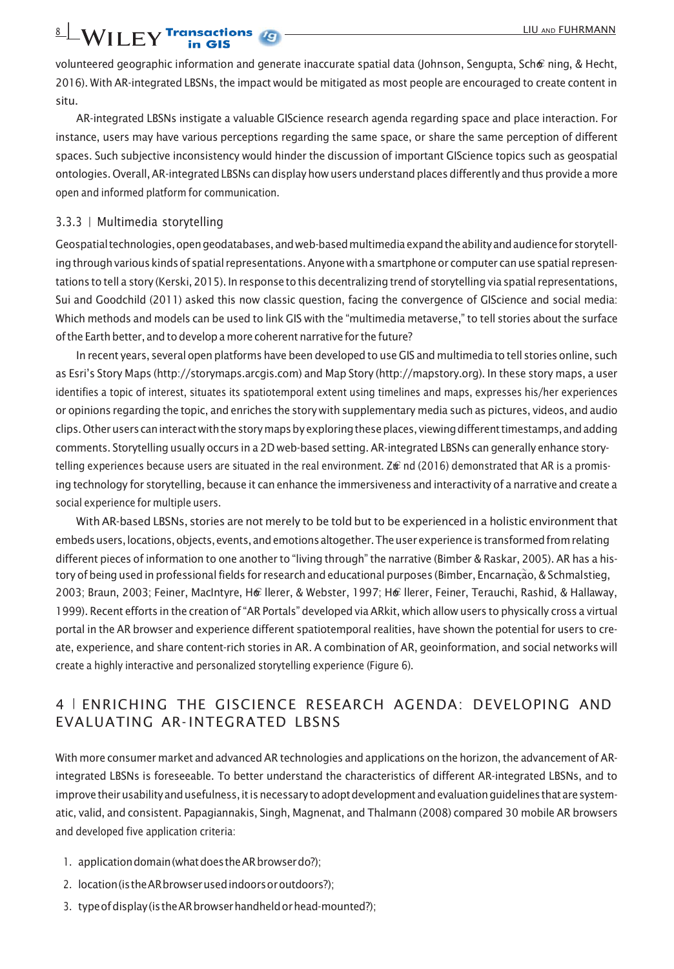## $\underline{\text{S}}$  WII FY Transactions

volunteered geographic information and generate inaccurate spatial data (Johnson, Sengupta, Scho€ning, & Hecht, 2016). With AR-integrated LBSNs, the impact would be mitigated as most people are encouraged to create content in situ.

AR-integrated LBSNs instigate a valuable GIScience research agenda regarding space and place interaction. For instance, users may have various perceptions regarding the same space, or share the same perception of different spaces. Such subjective inconsistency would hinder the discussion of important GIScience topics such as geospatial ontologies. Overall, AR-integrated LBSNs can display how users understand places differently and thus provide a more open and informed platform for communication.

#### 3.3.3 | Multimedia storytelling

Geospatialtechnologies,opengeodatabases, andweb-basedmultimediaexpandtheabilityandaudiencefor storytelling through various kinds of spatial representations. Anyone with a smartphone or computer can use spatial representations to tell a story (Kerski, 2015). In response to this decentralizing trend of storytelling via spatial representations, Sui and Goodchild (2011) asked this now classic question, facing the convergence of GIScience and social media: Which methods and models can be used to link GIS with the "multimedia metaverse," to tell stories about the surface of the Earth better, and to develop a more coherent narrative for the future?

In recent years, several open platforms have been developed to use GIS and multimedia to tell stories online, such as Esri's Story Maps [\(http://storymaps.arcgis.com\)](http://storymaps.arcgis.com/) and Map Story [\(http://mapstory.org\)](http://mapstory.org/). In these story maps, a user identifies a topic of interest, situates its spatiotemporal extent using timelines and maps, expresses his/her experiences or opinions regarding the topic, and enriches the story with supplementary media such as pictures, videos, and audio clips. Other users can interact with the story maps by exploring these places, viewing different timestamps, and adding comments. Storytelling usually occurs in a 2D web-based setting. AR-integrated LBSNs can generally enhance storytelling experiences because users are situated in the real environment. Z $\mathfrak{E}$  nd (2016) demonstrated that AR is a promising technology for storytelling, because it can enhance the immersiveness and interactivity of a narrative and create a social experience for multiple users.

With AR-based LBSNs, stories are not merely to be told but to be experienced in a holistic environment that embeds users, locations, objects, events, and emotions altogether. The user experience is transformed from relating different pieces of information to one another to "living through" the narrative (Bimber & Raskar, 2005). AR has a history of being used in professional fields for research and educational purposes (Bimber, Encarnação, & Schmalstieg, 2003; Braun, 2003; Feiner, MacIntyre, Ho€llerer, & Webster, 1997; Ho€llerer, Feiner, Terauchi, Rashid, & Hallaway, 1999). Recent efforts in the creation of "AR Portals" developed via ARkit, which allow users to physically cross a virtual portal in the AR browser and experience different spatiotemporal realities, have shown the potential for users to create, experience, and share content-rich stories in AR. A combination of AR, geoinformation, and social networks will create a highly interactive and personalized storytelling experience (Figure 6).

#### 4 | ENRICHING THE GISCIENCE RESEARCH AGENDA: DEVELOPING AND EVALUATING AR- INTEGRATED LBSNS

With more consumer market and advanced AR technologies and applications on the horizon, the advancement of ARintegrated LBSNs is foreseeable. To better understand the characteristics of different AR-integrated LBSNs, and to improve their usability and usefulness, it is necessary to adopt development and evaluation quidelines that are systematic, valid, and consistent. Papagiannakis, Singh, Magnenat, and Thalmann (2008) compared 30 mobile AR browsers and developed five application criteria:

- 1. application domain (what does the AR browser do?);
- 2. location(istheARbrowserusedindoorsoroutdoors?);
- 3. typeofdisplay(istheARbrowserhandheldorhead-mounted?);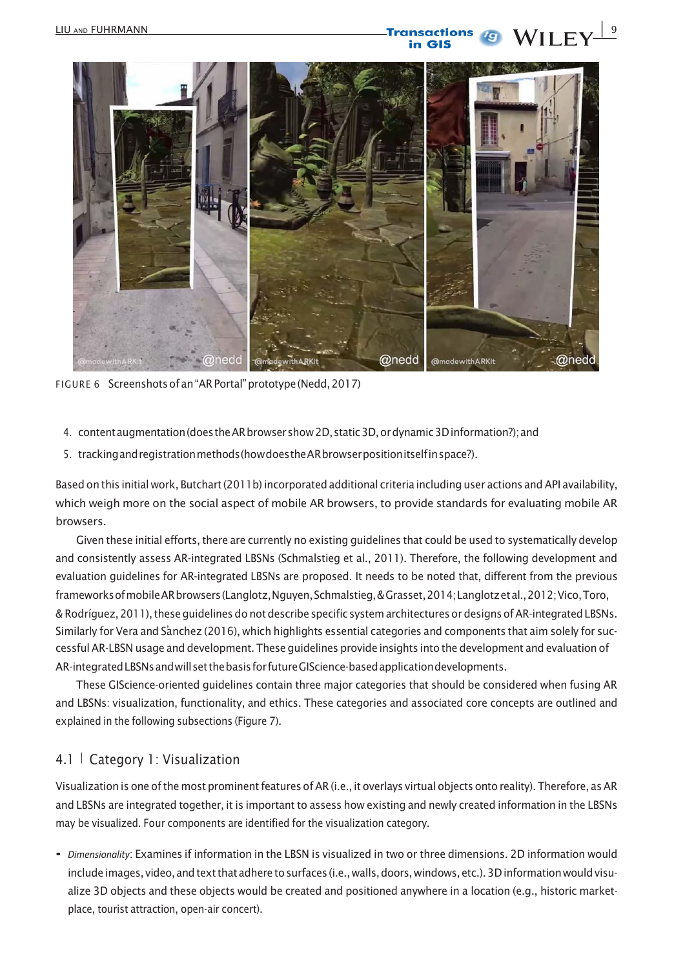#### $\underline{\text{LIU}}$  AND FUHRMANN  $\underbrace{\text{LIU}}$  AND  $\underbrace{\text{LIU}}$  and  $\underbrace{\text{LUI}}$  and  $\underbrace{\text{LUI}}$  and  $\underbrace{\text{LUI}}$  and  $\underbrace{\text{LUI}}$  and  $\underbrace{\text{LUI}}$  and  $\underbrace{\text{LUI}}$  and  $\underbrace{\text{LUI}}$  and  $\underbrace{\text{LUI}}$  and  $\underbrace{\text{LUI}}$  and  $\underbrace{\text{LUI}}$  and  $\underbrace$ in GIS



FIGURE 6 Screenshotsof an"ARPortal"prototype(Nedd,2017)

- 4. contentaugmentation(doestheARbrowsershow2D,static3D,ordynamic3Dinformation?);and
- 5. trackingandregistrationmethods(howdoestheARbrowserpositionitselfinspace?).

Based on this initial work, Butchart(2011b) incorporated additional criteria including user actions and API availability, which weigh more on the social aspect of mobile AR browsers, to provide standards for evaluating mobile AR browsers.

Given these initial efforts, there are currently no existing guidelines that could be used to systematically develop and consistently assess AR-integrated LBSNs (Schmalstieg et al., 2011). Therefore, the following development and evaluation guidelines for AR-integrated LBSNs are proposed. It needs to be noted that, different from the previous frameworks of mobile AR browsers (Langlotz, Nguyen, Schmalstieg, & Grasset, 2014; Langlotz et al., 2012; Vico, Toro, & Rodríguez,2011),theseguidelines do notdescribe specific systemarchitecturesor designsofAR-integratedLBSNs. Similarly for Vera and S'anchez (2016), which highlights essential categories and components that aim solely for successful AR-LBSN usage and development. These guidelines provide insights into the development and evaluation of AR-integratedLBSNsandwillsetthebasisforfutureGIScience-basedapplicationdevelopments.

These GIScience-oriented guidelines contain three major categories that should be considered when fusing AR and LBSNs: visualization, functionality, and ethics. These categories and associated core concepts are outlined and explained in the following subsections (Figure 7).

#### 4.1 | Category 1: Visualization

Visualization is one of the most prominent features of AR (i.e., it overlays virtual objects onto reality). Therefore, as AR and LBSNs are integrated together, it is important to assess how existing and newly created information in the LBSNs may be visualized. Four components are identified for the visualization category.

• *Dimensionality*: Examines if information in the LBSN is visualized in two or three dimensions. 2D information would include images, video, and text that adhere to surfaces (i.e., walls, doors, windows, etc.). 3D information would visualize 3D objects and these objects would be created and positioned anywhere in a location (e.g., historic marketplace, tourist attraction, open-air concert).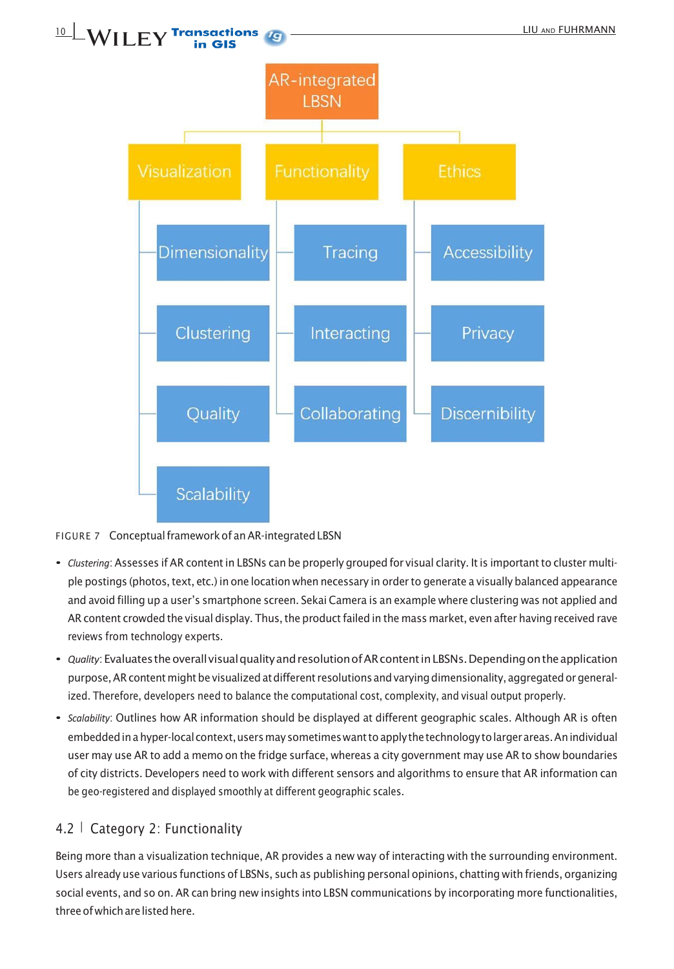

FIGURE 7 Conceptual framework of an AR-integrated LBSN

- *Clustering*: Assesses if AR content in LBSNs can be properly grouped for visual clarity. It is important to cluster multiple postings (photos,text, etc.) in one location when necessary in order to generate a visually balanced appearance and avoid filling up a user's smartphone screen. Sekai Camera is an example where clustering was not applied and AR content crowded the visual display. Thus, the product failed in the mass market, even after having received rave reviews from technology experts.
- *Quality*: Evaluates the overall visual quality and resolution of AR content in LBSNs. Depending on the application purpose, AR content might be visualized at different resolutions and varying dimensionality, aggregated or generalized. Therefore, developers need to balance the computational cost, complexity, and visual output properly.
- *Scalability*: Outlines how AR information should be displayed at different geographic scales. Although AR is often embedded in a hyper-local context, users may sometimes want to apply the technology to larger areas. An individual user may use AR to add a memo on the fridge surface, whereas a city government may use AR to show boundaries of city districts. Developers need to work with different sensors and algorithms to ensure that AR information can be geo-registered and displayed smoothly at different geographic scales.

#### 4.2 | Category 2: Functionality

Being more than a visualization technique, AR provides a new way of interacting with the surrounding environment. Users already use various functions of LBSNs, such as publishing personal opinions, chatting with friends, organizing social events, and so on. AR can bring new insights into LBSN communications by incorporating more functionalities, threeofwhicharelistedhere.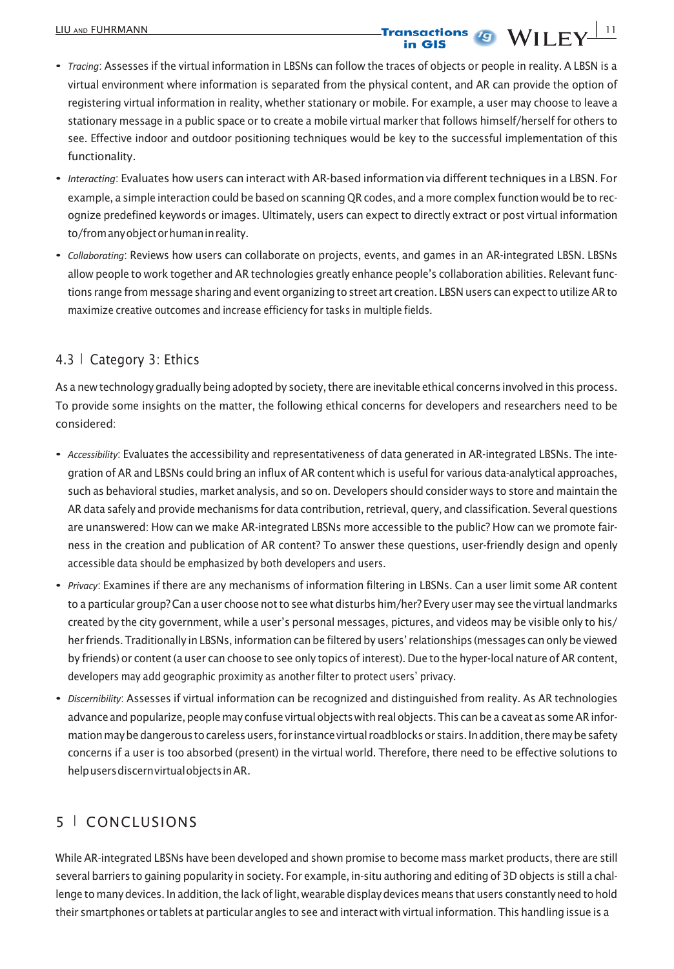### $\underline{\text{LIU}}$  AND FUHRMANN  $\underbrace{\text{LIU}}$  and  $\text{LUI}$   $\text{LIV}$   $\underbrace{\text{LIV}}$   $\underbrace{\text{LIV}}$   $\underbrace{\text{LIV}}$

- *Tracing*: Assesses if the virtual information in LBSNs can follow the traces of objects or people in reality. <sup>A</sup> LBSN is <sup>a</sup> virtual environment where information is separated from the physical content, and AR can provide the option of registering virtual information in reality, whether stationary or mobile. For example, a user may choose to leave a stationary message in a public space or to create a mobile virtual marker that follows himself/herself for others to see. Effective indoor and outdoor positioning techniques would be key to the successful implementation of this functionality.
- *Interacting*: Evaluates how users can interact with AR-based information via differenttechniques in a LBSN. For example, a simple interaction could be based on scanning QR codes, and a more complex function would be to recognize predefined keywords or images. Ultimately, users can expect to directly extract or post virtual information to/fromanyobjectorhumaninreality.
- *Collaborating*: Reviews how users can collaborate on projects, events, and games in an AR-integrated LBSN. LBSNs allow people to work together and AR technologies greatly enhance people's collaboration abilities. Relevant functions range from message sharing and event organizing to street art creation. LBSN users can expect to utilize AR to maximize creative outcomes and increase efficiency for tasks in multiple fields.

#### 4.3 | Category 3: Ethics

As a new technology gradually being adopted by society, there are inevitable ethical concerns involved in this process. To provide some insights on the matter, the following ethical concerns for developers and researchers need to be considered:

- *Accessibility*: Evaluates the accessibility and representativeness of data generated in AR-integrated LBSNs. The integration of AR and LBSNs could bring an influx of AR content which is useful for various data-analytical approaches, such as behavioral studies, market analysis, and so on. Developers should consider ways to store and maintain the AR data safely and provide mechanisms for data contribution, retrieval, query, and classification. Severalquestions are unanswered: How can we make AR-integrated LBSNs more accessible to the public? How can we promote fairness in the creation and publication of AR content? To answer these questions, user-friendly design and openly accessible data should be emphasized by both developers and users.
- *Privacy*: Examines if there are any mechanisms of information filtering in LBSNs. Can <sup>a</sup> user limit some AR content to a particular group? Can a user choose not to see what disturbs him/her? Every user may see the virtual landmarks created by the city government, while a user's personal messages, pictures, and videos may be visible only to his/ her friends. Traditionally in LBSNs, information can be filtered by users' relationships (messages can only be viewed by friends) or content (a user can choose to see only topics of interest). Due to the hyper-local nature of AR content, developers may add geographic proximity as another filter to protect users' privacy.
- *Discernibility*: Assesses if virtual information can be recognized and distinguished from reality. As AR technologies advance and popularize, people may confuse virtual objects with real objects. This can be a caveat as some AR information may be dangerous to careless users, for instance virtual roadblocks or stairs. In addition, there may be safety concerns if a user is too absorbed (present) in the virtual world. Therefore, there need to be effective solutions to helpusersdiscernvirtualobjectsinAR.

#### 5 | CONCLUSIONS

While AR-integrated LBSNs have been developed and shown promise to become mass market products, there are still several barriers to gaining popularity in society. For example, in-situ authoring and editing of 3D objects is still a challenge to many devices. In addition, the lack of light, wearable display devices means that users constantly need to hold their smartphones or tablets at particular angles to see and interact with virtual information. This handling issue is a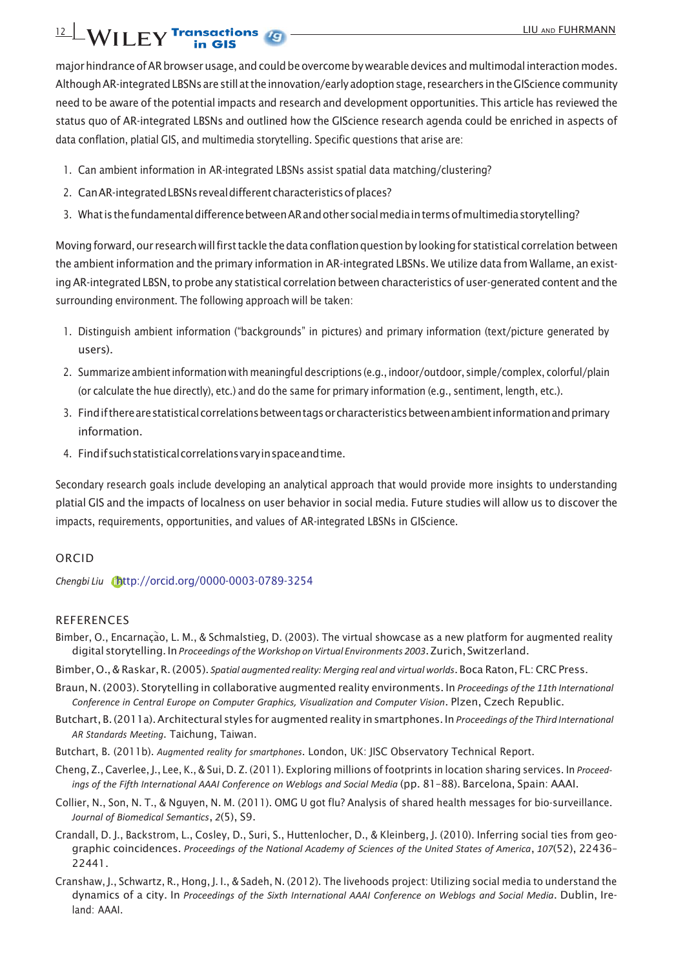#### $12$  $\mathbf{-W}\mathbf{H}\mathbf{F}\mathbf{V}$  Transactions

major hindrance of AR browser usage, and could be overcome by wearable devices and multimodal interaction modes. Although AR-integrated LBSNs are still at the innovation/early adoption stage, researchers in the GIScience community need to be aware of the potential impacts and research and development opportunities. This article has reviewed the status quo of AR-integrated LBSNs and outlined how the GIScience research agenda could be enriched in aspects of data conflation, platial GIS, and multimedia storytelling. Specific questions that arise are:

- 1. Can ambient information in AR-integrated LBSNs assist spatial data matching/clustering?
- 2. Can AR-integrated LBSNs reveal different characteristics of places?
- 3. WhatisthefundamentaldifferencebetweenARandothersocialmediaintermsofmultimediastorytelling?

Moving forward, our research will first tackle the data conflation question by looking for statistical correlation between the ambient information and the primary information in AR-integrated LBSNs. We utilize data from Wallame, an existingAR-integrated LBSN,to probe any statistical correlation between characteristics of user-generated content and the surrounding environment. The following approach will be taken:

- 1. Distinguish ambient information ("backgrounds" in pictures) and primary information (text/picture generated by users).
- 2. Summarize ambientinformationwith meaningful descriptions (e.g., indoor/outdoor, simple/complex, colorful/plain (or calculate the hue directly), etc.) and do the same for primary information (e.g., sentiment, length, etc.).
- 3. Findiftherearestatisticalcorrelationsbetweentagsorcharacteristicsbetweenambientinformationandprimary information.
- 4. Findifsuchstatisticalcorrelationsvaryinspaceandtime.

Secondary research goals include developing an analytical approach that would provide more insights to understanding platial GIS and the impacts of localness on user behavior in social media. Future studies will allow us to discover the impacts, requirements, opportunities, and values of AR-integrated LBSNs in GIScience.

#### ORCID

*Chengbi Liu* <http://orcid.org/0000-0003-0789-3254>

#### REFERENCES

- Bimber, O., Encarnação, L. M., & Schmalstieg, D. (2003). The virtual showcase as a new platform for augmented reality digital storytelling.In *Proceedings ofthe Workshop on Virtual Environments 2003*.Zurich, Switzerland.
- Bimber,O.,& Raskar, R.(2005). *Spatial augmented reality: Merging real and virtual worlds*. Boca Raton, FL: CRCPress.
- Braun, N. (2003). Storytelling in collaborative augmented reality environments. In *Proceedings of the 11th International Conference in Central Europe on Computer Graphics, Visualization and Computer Vision*. Plzen, Czech Republic.
- Butchart, B.(2011a).Architectural styles for augmented reality in smartphones.In *Proceedings of the Third International AR Standards Meeting*. Taichung, Taiwan.
- Butchart, B. (2011b). *Augmented reality for smartphones*. London, UK: JISC Observatory Technical Report.
- Cheng, Z., Caverlee, J., Lee, K., & Sui, D. Z. (2011). Exploring millions of footprints in location sharing services. In *Proceedings of the Fifth International AAAI Conference on Weblogs and Social Media* (pp. 81–88). Barcelona, Spain: AAAI.
- Collier, N., Son, N. T., & Nguyen, N. M. (2011). OMG U got flu? Analysis of shared health messages for bio-surveillance. *Journal of Biomedical Semantics*, *2*(5), S9.
- Crandall, D. J., Backstrom, L., Cosley, D., Suri, S., Huttenlocher, D., & Kleinberg, J. (2010). Inferring social ties from geographic coincidences. *Proceedings of the National Academy of Sciences of the United States of America*, *107*(52), 22436– 22441.
- Cranshaw, J., Schwartz, R., Hong, J. I., & Sadeh, N. (2012). The livehoods project: Utilizing social media to understand the dynamics of a city. In *Proceedings of the Sixth International AAAI Conference on Weblogs and Social Media*. Dublin, Ireland: AAAI.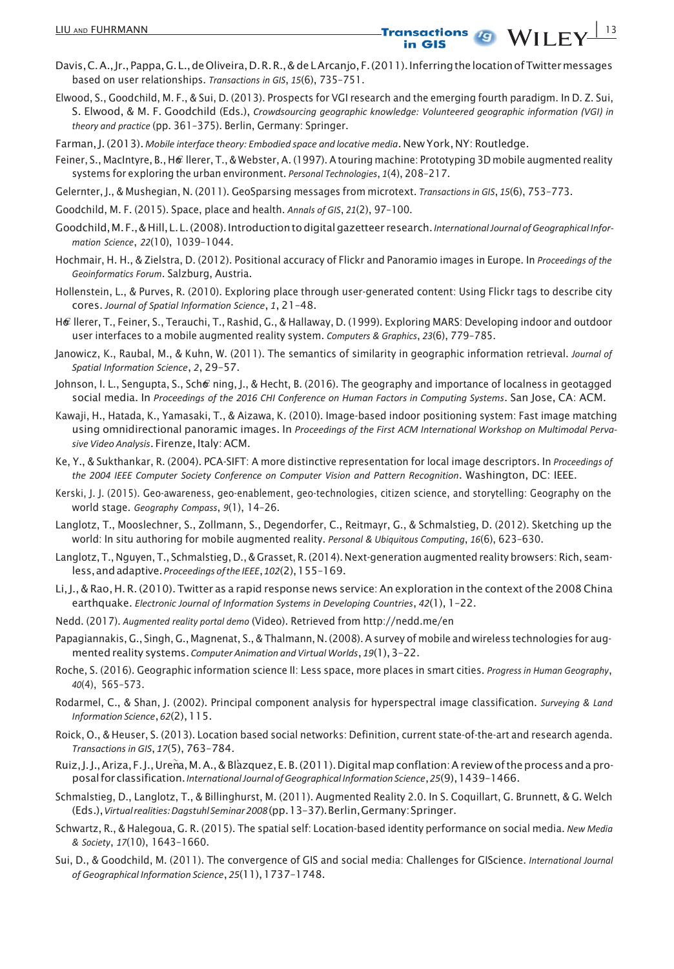- Elwood, S., Goodchild, M. F., & Sui, D. (2013). Prospects for VGI research and the emerging fourth paradigm. In D. Z. Sui, S. Elwood, & M. F. Goodchild (Eds.), *Crowdsourcing geographic knowledge: Volunteered geographic information (VGI) in theory and practice* (pp. 361–375). Berlin, Germany: Springer.
- Farman, J. (2013). *Mobile interface theory: Embodied space and locative media*. New York, NY: Routledge.
- Feiner, S., MacIntyre, B., H& Ilerer, T., & Webster, A. (1997). A touring machine: Prototyping 3D mobile augmented reality systems for exploring the urban environment. *Personal Technologies*, *1*(4), 208–217.
- Gelernter, J., & Mushegian, N. (2011). GeoSparsing messages from microtext. *Transactions in GIS*, *15*(6), 753–773.
- Goodchild, M. F. (2015). Space, place and health. *Annals of GIS*, *21*(2), 97–100.
- Goodchild,M.F.,& Hill,L.L.(2008).Introductiontodigitalgazetteer research.*InternationalJournal of Geographical Information Science*, *22*(10), 1039–1044.
- Hochmair, H. H., & Zielstra, D. (2012). Positional accuracy of Flickr and Panoramio images in Europe. In *Proceedings of the Geoinformatics Forum*. Salzburg, Austria.
- Hollenstein, L., & Purves, R. (2010). Exploring place through user-generated content: Using Flickr tags to describe city cores. *Journal of Spatial Information Science*, *1*, 21–48.
- HE Ilerer, T., Feiner, S., Terauchi, T., Rashid, G., & Hallaway, D. (1999). Exploring MARS: Developing indoor and outdoor user interfaces to a mobile augmented reality system. *Computers & Graphics*, *23*(6), 779–785.
- Janowicz, K., Raubal, M., & Kuhn, W. (2011). The semantics of similarity in geographic information retrieval. *Journal of Spatial Information Science*, *2*, 29–57.
- Johnson, I. L., Sengupta, S., Sch€ning, J., & Hecht, B. (2016). The geography and importance of localness in geotagged social media. In *Proceedings of the 2016 CHI Conference on Human Factors in Computing Systems*. San Jose, CA: ACM.
- Kawaji, H., Hatada, K., Yamasaki, T., & Aizawa, K. (2010). Image-based indoor positioning system: Fast image matching using omnidirectional panoramic images. In *Proceedings of the First ACM International Workshop on Multimodal Pervasive Video Analysis*. Firenze, Italy:ACM.
- Ke, Y., & Sukthankar, R. (2004). PCA-SIFT: A more distinctive representation for local image descriptors. In *Proceedings of the 2004 IEEE Computer Society Conference on Computer Vision and Pattern Recognition*. Washington, DC: IEEE.
- Kerski, J. J. (2015). Geo-awareness, geo-enablement, geo-technologies, citizen science, and storytelling: Geography on the world stage. *Geography Compass*, *9*(1), 14–26.
- Langlotz, T., Mooslechner, S., Zollmann, S., Degendorfer, C., Reitmayr, G., & Schmalstieg, D. (2012). Sketching up the world: In situ authoring for mobile augmented reality. *Personal & Ubiquitous Computing*, *16*(6), 623–630.
- Langlotz, T., Nguyen, T., Schmalstieg, D., & Grasset, R. (2014). Next-generation augmented reality browsers: Rich, seamless,andadaptive.*Proceedings ofthe IEEE*,*102*(2),155–169.
- Li, J., & Rao, H. R. (2010). Twitter as a rapid response news service: An exploration in the context ofthe 2008 China earthquake. *Electronic Journal of Information Systems in Developing Countries*, *42*(1), 1–22.
- Nedd. (2017). *Augmented reality portal demo* (Video). Retrieved from <http://nedd.me/en>
- Papagiannakis, G., Singh, G., Magnenat, S., & Thalmann, N. (2008). A survey of mobile and wireless technologies for augmented reality systems. *Computer Animation and Virtual Worlds*, *19*(1),3–22.
- Roche, S. (2016). Geographic information science II: Less space, more places in smart cities. *Progress in Human Geography*, *40*(4), 565–573.
- Rodarmel, C., & Shan, J. (2002). Principal component analysis for hyperspectral image classification. *Surveying & Land Information Science*, *62*(2),115.
- Roick, O., & Heuser, S. (2013). Location based social networks: Definition, current state-of-the-art and research agenda. *Transactions in GIS*, *17*(5), 763–784.
- Ruiz, J. J., Ariza, F. J., Ureña, M. A., & Bl'azquez, E. B. (2011). Digital map conflation: A review of the process and a proposalfor classification.*InternationalJournalofGeographical Information Science*,*25*(9),1439–1466.
- Schmalstieg, D., Langlotz, T., & Billinghurst, M. (2011). Augmented Reality 2.0. In S. Coquillart, G. Brunnett, & G. Welch (Eds.),*Virtualrealities:DagstuhlSeminar2008*(pp.13–37).Berlin,Germany:Springer.
- Schwartz, R., & Halegoua, G. R. (2015). The spatial self: Location-based identity performance on social media. *New Media & Society*, *17*(10), 1643–1660.
- Sui, D., & Goodchild, M. (2011). The convergence of GIS and social media: Challenges for GIScience. *International Journal of Geographical Information Science*, *25*(11),1737–1748.